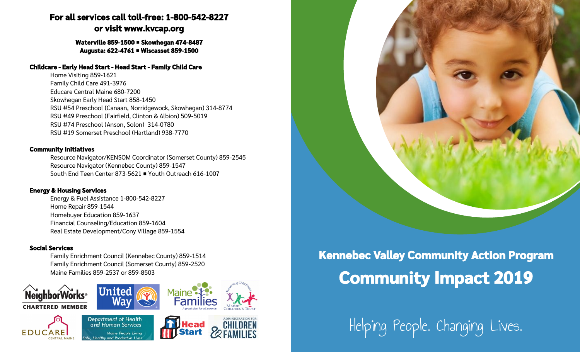# **For all services call toll-free: 1-800-542-8227 or visit www.kvcap.org**

#### **Waterville 859-1500 Skowhegan 474-8487 Augusta: 622-4761 Wiscasset 859-1500**

#### **Childcare - Early Head Start - Head Start - Family Child Care**

Home Visiting 859-1621 Family Child Care 491-3976 Educare Central Maine 680-7200 Skowhegan Early Head Start 858-1450 RSU #54 Preschool (Canaan, Norridgewock, Skowhegan) 314-8774 RSU #49 Preschool (Fairfield, Clinton & Albion) 509-5019 RSU #74 Preschool (Anson, Solon) 314-0780 RSU #19 Somerset Preschool (Hartland) 938-7770

#### **Community Initiatives**

Resource Navigator/KENSOM Coordinator (Somerset County) 859-2545 Resource Navigator (Kennebec County) 859-1547 South End Teen Center 873-5621 Youth Outreach 616-1007

### **Energy & Housing Services**

Energy & Fuel Assistance 1-800-542-8227 Home Repair 859-1544 Homebuyer Education 859-1637 Financial Counseling/Education 859-1604 Real Estate Development/Cony Village 859-1554

## **Social Services**

Family Enrichment Council (Kennebec County) 859-1514 Family Enrichment Council (Somerset County) 859-2520 Maine Families 859-2537 or 859-8503



# **Kennebec Valley Community Action Program Community Impact 2019**

Helping People. Changing Lives.